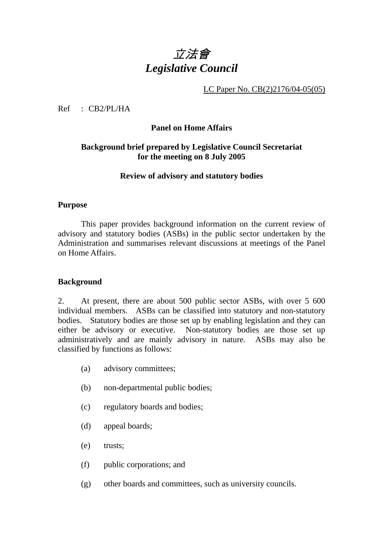# 立法會 *Legislative Council*

LC Paper No. CB(2)2176/04-05(05)

Ref : CB2/PL/HA

#### **Panel on Home Affairs**

### **Background brief prepared by Legislative Council Secretariat for the meeting on 8 July 2005**

#### **Review of advisory and statutory bodies**

#### **Purpose**

This paper provides background information on the current review of advisory and statutory bodies (ASBs) in the public sector undertaken by the Administration and summarises relevant discussions at meetings of the Panel on Home Affairs.

#### **Background**

2. At present, there are about 500 public sector ASBs, with over 5 600 individual members. ASBs can be classified into statutory and non-statutory bodies. Statutory bodies are those set up by enabling legislation and they can either be advisory or executive. Non-statutory bodies are those set up administratively and are mainly advisory in nature. ASBs may also be classified by functions as follows:

- (a) advisory committees;
- (b) non-departmental public bodies;
- (c) regulatory boards and bodies;
- (d) appeal boards;
- (e) trusts;
- (f) public corporations; and
- (g) other boards and committees, such as university councils.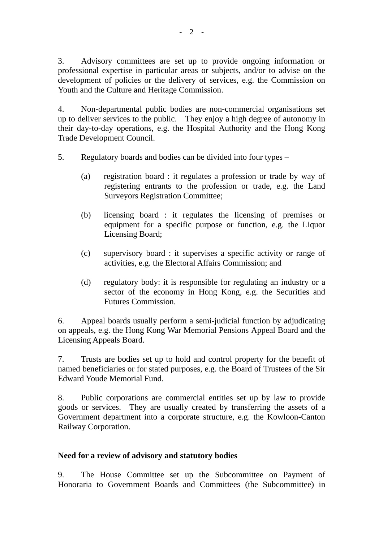3. Advisory committees are set up to provide ongoing information or professional expertise in particular areas or subjects, and/or to advise on the development of policies or the delivery of services, e.g. the Commission on Youth and the Culture and Heritage Commission.

4. Non-departmental public bodies are non-commercial organisations set up to deliver services to the public. They enjoy a high degree of autonomy in their day-to-day operations, e.g. the Hospital Authority and the Hong Kong Trade Development Council.

- 5. Regulatory boards and bodies can be divided into four types
	- (a) registration board : it regulates a profession or trade by way of registering entrants to the profession or trade, e.g. the Land Surveyors Registration Committee;
	- (b) licensing board : it regulates the licensing of premises or equipment for a specific purpose or function, e.g. the Liquor Licensing Board;
	- (c) supervisory board : it supervises a specific activity or range of activities, e.g. the Electoral Affairs Commission; and
	- (d) regulatory body: it is responsible for regulating an industry or a sector of the economy in Hong Kong, e.g. the Securities and Futures Commission.

6. Appeal boards usually perform a semi-judicial function by adjudicating on appeals, e.g. the Hong Kong War Memorial Pensions Appeal Board and the Licensing Appeals Board.

7. Trusts are bodies set up to hold and control property for the benefit of named beneficiaries or for stated purposes, e.g. the Board of Trustees of the Sir Edward Youde Memorial Fund.

8. Public corporations are commercial entities set up by law to provide goods or services. They are usually created by transferring the assets of a Government department into a corporate structure, e.g. the Kowloon-Canton Railway Corporation.

# **Need for a review of advisory and statutory bodies**

9. The House Committee set up the Subcommittee on Payment of Honoraria to Government Boards and Committees (the Subcommittee) in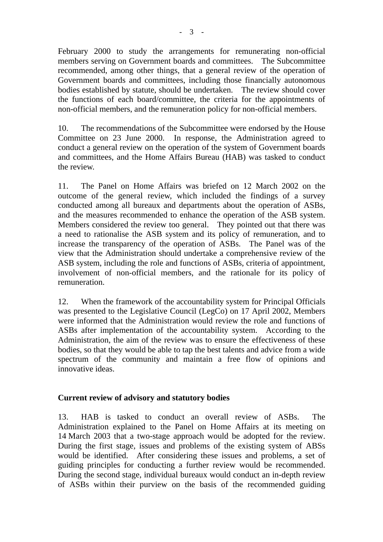February 2000 to study the arrangements for remunerating non-official members serving on Government boards and committees. The Subcommittee recommended, among other things, that a general review of the operation of Government boards and committees, including those financially autonomous bodies established by statute, should be undertaken. The review should cover the functions of each board/committee, the criteria for the appointments of non-official members, and the remuneration policy for non-official members.

10. The recommendations of the Subcommittee were endorsed by the House Committee on 23 June 2000. In response, the Administration agreed to conduct a general review on the operation of the system of Government boards and committees, and the Home Affairs Bureau (HAB) was tasked to conduct the review.

11. The Panel on Home Affairs was briefed on 12 March 2002 on the outcome of the general review, which included the findings of a survey conducted among all bureaux and departments about the operation of ASBs, and the measures recommended to enhance the operation of the ASB system. Members considered the review too general. They pointed out that there was a need to rationalise the ASB system and its policy of remuneration, and to increase the transparency of the operation of ASBs. The Panel was of the view that the Administration should undertake a comprehensive review of the ASB system, including the role and functions of ASBs, criteria of appointment, involvement of non-official members, and the rationale for its policy of remuneration.

12. When the framework of the accountability system for Principal Officials was presented to the Legislative Council (LegCo) on 17 April 2002, Members were informed that the Administration would review the role and functions of ASBs after implementation of the accountability system. According to the Administration, the aim of the review was to ensure the effectiveness of these bodies, so that they would be able to tap the best talents and advice from a wide spectrum of the community and maintain a free flow of opinions and innovative ideas.

#### **Current review of advisory and statutory bodies**

13. HAB is tasked to conduct an overall review of ASBs. The Administration explained to the Panel on Home Affairs at its meeting on 14 March 2003 that a two-stage approach would be adopted for the review. During the first stage, issues and problems of the existing system of ABSs would be identified. After considering these issues and problems, a set of guiding principles for conducting a further review would be recommended. During the second stage, individual bureaux would conduct an in-depth review of ASBs within their purview on the basis of the recommended guiding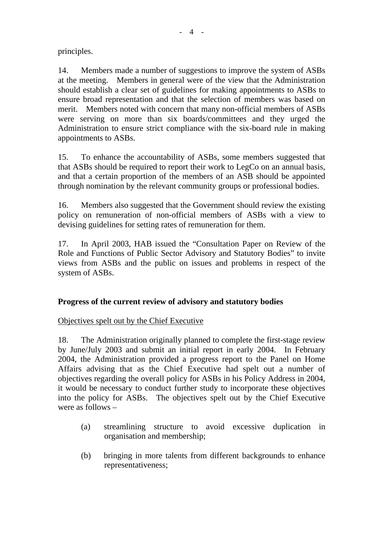principles.

14. Members made a number of suggestions to improve the system of ASBs at the meeting. Members in general were of the view that the Administration should establish a clear set of guidelines for making appointments to ASBs to ensure broad representation and that the selection of members was based on merit. Members noted with concern that many non-official members of ASBs were serving on more than six boards/committees and they urged the Administration to ensure strict compliance with the six-board rule in making appointments to ASBs.

15. To enhance the accountability of ASBs, some members suggested that that ASBs should be required to report their work to LegCo on an annual basis, and that a certain proportion of the members of an ASB should be appointed through nomination by the relevant community groups or professional bodies.

16. Members also suggested that the Government should review the existing policy on remuneration of non-official members of ASBs with a view to devising guidelines for setting rates of remuneration for them.

17. In April 2003, HAB issued the "Consultation Paper on Review of the Role and Functions of Public Sector Advisory and Statutory Bodies" to invite views from ASBs and the public on issues and problems in respect of the system of ASBs.

# **Progress of the current review of advisory and statutory bodies**

# Objectives spelt out by the Chief Executive

18. The Administration originally planned to complete the first-stage review by June/July 2003 and submit an initial report in early 2004. In February 2004, the Administration provided a progress report to the Panel on Home Affairs advising that as the Chief Executive had spelt out a number of objectives regarding the overall policy for ASBs in his Policy Address in 2004, it would be necessary to conduct further study to incorporate these objectives into the policy for ASBs. The objectives spelt out by the Chief Executive were as follows –

- (a) streamlining structure to avoid excessive duplication in organisation and membership;
- (b) bringing in more talents from different backgrounds to enhance representativeness;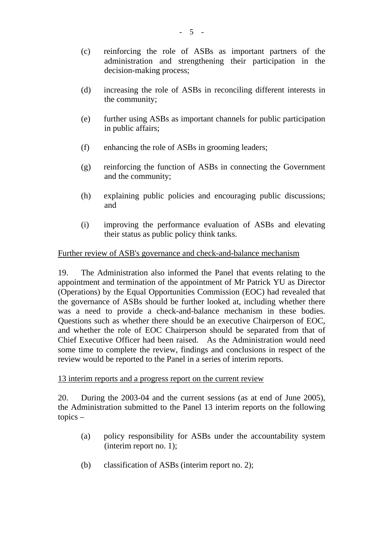- (c) reinforcing the role of ASBs as important partners of the administration and strengthening their participation in the decision-making process;
- (d) increasing the role of ASBs in reconciling different interests in the community;
- (e) further using ASBs as important channels for public participation in public affairs;
- (f) enhancing the role of ASBs in grooming leaders;
- (g) reinforcing the function of ASBs in connecting the Government and the community;
- (h) explaining public policies and encouraging public discussions; and
- (i) improving the performance evaluation of ASBs and elevating their status as public policy think tanks.

#### Further review of ASB's governance and check-and-balance mechanism

19. The Administration also informed the Panel that events relating to the appointment and termination of the appointment of Mr Patrick YU as Director (Operations) by the Equal Opportunities Commission (EOC) had revealed that the governance of ASBs should be further looked at, including whether there was a need to provide a check-and-balance mechanism in these bodies. Questions such as whether there should be an executive Chairperson of EOC, and whether the role of EOC Chairperson should be separated from that of Chief Executive Officer had been raised. As the Administration would need some time to complete the review, findings and conclusions in respect of the review would be reported to the Panel in a series of interim reports.

#### 13 interim reports and a progress report on the current review

20. During the 2003-04 and the current sessions (as at end of June 2005), the Administration submitted to the Panel 13 interim reports on the following topics –

- (a) policy responsibility for ASBs under the accountability system (interim report no. 1);
- (b) classification of ASBs (interim report no. 2);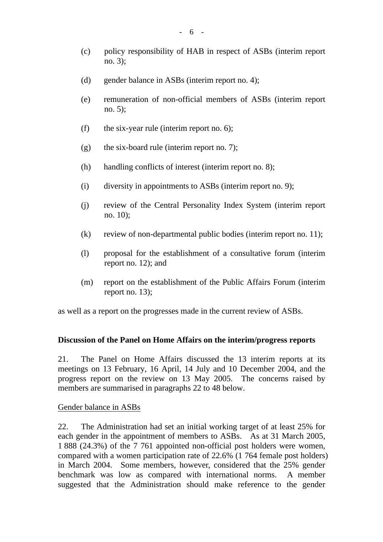- (d) gender balance in ASBs (interim report no. 4);
- (e) remuneration of non-official members of ASBs (interim report no. 5);
- (f) the six-year rule (interim report no.  $6$ );
- (g) the six-board rule (interim report no. 7);
- (h) handling conflicts of interest (interim report no. 8);
- (i) diversity in appointments to ASBs (interim report no. 9);
- (j) review of the Central Personality Index System (interim report no. 10);
- (k) review of non-departmental public bodies (interim report no. 11);
- (l) proposal for the establishment of a consultative forum (interim report no. 12); and
- (m) report on the establishment of the Public Affairs Forum (interim report no. 13);

as well as a report on the progresses made in the current review of ASBs.

#### **Discussion of the Panel on Home Affairs on the interim/progress reports**

21. The Panel on Home Affairs discussed the 13 interim reports at its meetings on 13 February, 16 April, 14 July and 10 December 2004, and the progress report on the review on 13 May 2005. The concerns raised by members are summarised in paragraphs 22 to 48 below.

Gender balance in ASBs

22. The Administration had set an initial working target of at least 25% for each gender in the appointment of members to ASBs. As at 31 March 2005, 1 888 (24.3%) of the 7 761 appointed non-official post holders were women, compared with a women participation rate of 22.6% (1 764 female post holders) in March 2004. Some members, however, considered that the 25% gender benchmark was low as compared with international norms. A member suggested that the Administration should make reference to the gender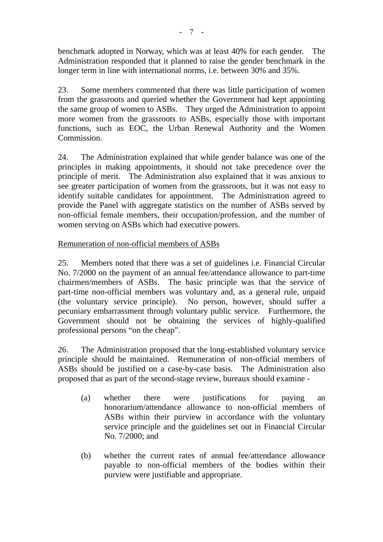benchmark adopted in Norway, which was at least 40% for each gender. The Administration responded that it planned to raise the gender benchmark in the longer term in line with international norms, i.e. between 30% and 35%.

23. Some members commented that there was little participation of women from the grassroots and queried whether the Government had kept appointing the same group of women to ASBs. They urged the Administration to appoint more women from the grassroots to ASBs, especially those with important functions, such as EOC, the Urban Renewal Authority and the Women Commission.

24. The Administration explained that while gender balance was one of the principles in making appointments, it should not take precedence over the principle of merit. The Administration also explained that it was anxious to see greater participation of women from the grassroots, but it was not easy to identify suitable candidates for appointment. The Administration agreed to provide the Panel with aggregate statistics on the number of ASBs served by non-official female members, their occupation/profession, and the number of women serving on ASBs which had executive powers.

## Remuneration of non-official members of ASBs

25. Members noted that there was a set of guidelines i.e. Financial Circular No. 7/2000 on the payment of an annual fee/attendance allowance to part-time chairmen/members of ASBs. The basic principle was that the service of part-time non-official members was voluntary and, as a general rule, unpaid (the voluntary service principle). No person, however, should suffer a pecuniary embarrassment through voluntary public service. Furthermore, the Government should not be obtaining the services of highly-qualified professional persons "on the cheap".

26. The Administration proposed that the long-established voluntary service principle should be maintained. Remuneration of non-official members of ASBs should be justified on a case-by-case basis. The Administration also proposed that as part of the second-stage review, bureaux should examine -

- (a) whether there were justifications for paying an honorarium/attendance allowance to non-official members of ASBs within their purview in accordance with the voluntary service principle and the guidelines set out in Financial Circular No. 7/2000; and
- (b) whether the current rates of annual fee/attendance allowance payable to non-official members of the bodies within their purview were justifiable and appropriate.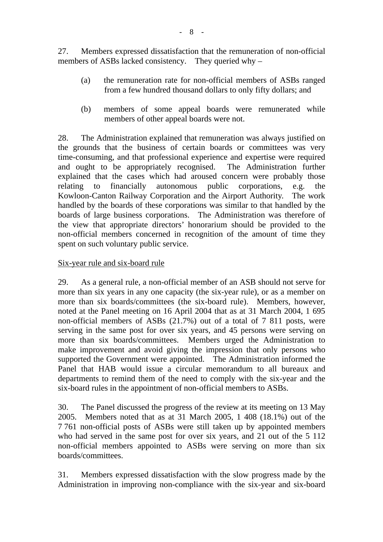27. Members expressed dissatisfaction that the remuneration of non-official members of ASBs lacked consistency. They queried why –

- (a) the remuneration rate for non-official members of ASBs ranged from a few hundred thousand dollars to only fifty dollars; and
- (b) members of some appeal boards were remunerated while members of other appeal boards were not.

28. The Administration explained that remuneration was always justified on the grounds that the business of certain boards or committees was very time-consuming, and that professional experience and expertise were required and ought to be appropriately recognised. The Administration further explained that the cases which had aroused concern were probably those relating to financially autonomous public corporations, e.g. the Kowloon-Canton Railway Corporation and the Airport Authority. The work handled by the boards of these corporations was similar to that handled by the boards of large business corporations. The Administration was therefore of the view that appropriate directors' honorarium should be provided to the non-official members concerned in recognition of the amount of time they spent on such voluntary public service.

#### Six-year rule and six-board rule

29. As a general rule, a non-official member of an ASB should not serve for more than six years in any one capacity (the six-year rule), or as a member on more than six boards/committees (the six-board rule). Members, however, noted at the Panel meeting on 16 April 2004 that as at 31 March 2004, 1 695 non-official members of ASBs (21.7%) out of a total of 7 811 posts, were serving in the same post for over six years, and 45 persons were serving on more than six boards/committees. Members urged the Administration to make improvement and avoid giving the impression that only persons who supported the Government were appointed. The Administration informed the Panel that HAB would issue a circular memorandum to all bureaux and departments to remind them of the need to comply with the six-year and the six-board rules in the appointment of non-official members to ASBs.

30. The Panel discussed the progress of the review at its meeting on 13 May 2005. Members noted that as at 31 March 2005, 1 408 (18.1%) out of the 7 761 non-official posts of ASBs were still taken up by appointed members who had served in the same post for over six years, and 21 out of the 5 112 non-official members appointed to ASBs were serving on more than six boards/committees.

31. Members expressed dissatisfaction with the slow progress made by the Administration in improving non-compliance with the six-year and six-board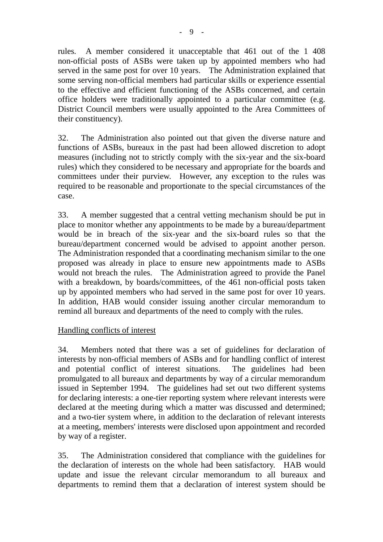rules. A member considered it unacceptable that 461 out of the 1 408 non-official posts of ASBs were taken up by appointed members who had served in the same post for over 10 years. The Administration explained that some serving non-official members had particular skills or experience essential to the effective and efficient functioning of the ASBs concerned, and certain office holders were traditionally appointed to a particular committee (e.g. District Council members were usually appointed to the Area Committees of their constituency).

32. The Administration also pointed out that given the diverse nature and functions of ASBs, bureaux in the past had been allowed discretion to adopt measures (including not to strictly comply with the six-year and the six-board rules) which they considered to be necessary and appropriate for the boards and committees under their purview. However, any exception to the rules was required to be reasonable and proportionate to the special circumstances of the case.

33. A member suggested that a central vetting mechanism should be put in place to monitor whether any appointments to be made by a bureau/department would be in breach of the six-year and the six-board rules so that the bureau/department concerned would be advised to appoint another person. The Administration responded that a coordinating mechanism similar to the one proposed was already in place to ensure new appointments made to ASBs would not breach the rules. The Administration agreed to provide the Panel with a breakdown, by boards/committees, of the 461 non-official posts taken up by appointed members who had served in the same post for over 10 years. In addition, HAB would consider issuing another circular memorandum to remind all bureaux and departments of the need to comply with the rules.

#### Handling conflicts of interest

34. Members noted that there was a set of guidelines for declaration of interests by non-official members of ASBs and for handling conflict of interest and potential conflict of interest situations. The guidelines had been promulgated to all bureaux and departments by way of a circular memorandum issued in September 1994. The guidelines had set out two different systems for declaring interests: a one-tier reporting system where relevant interests were declared at the meeting during which a matter was discussed and determined; and a two-tier system where, in addition to the declaration of relevant interests at a meeting, members' interests were disclosed upon appointment and recorded by way of a register.

35. The Administration considered that compliance with the guidelines for the declaration of interests on the whole had been satisfactory. HAB would update and issue the relevant circular memorandum to all bureaux and departments to remind them that a declaration of interest system should be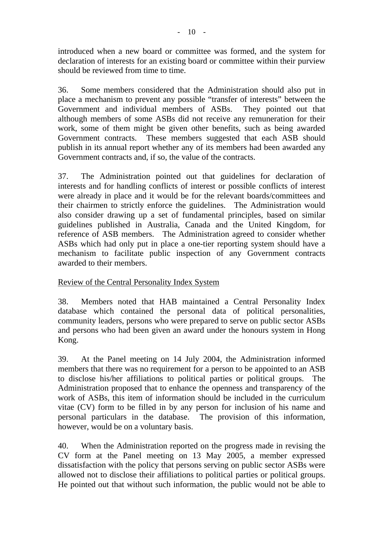introduced when a new board or committee was formed, and the system for declaration of interests for an existing board or committee within their purview should be reviewed from time to time.

36. Some members considered that the Administration should also put in place a mechanism to prevent any possible "transfer of interests" between the Government and individual members of ASBs. They pointed out that although members of some ASBs did not receive any remuneration for their work, some of them might be given other benefits, such as being awarded Government contracts. These members suggested that each ASB should publish in its annual report whether any of its members had been awarded any Government contracts and, if so, the value of the contracts.

37. The Administration pointed out that guidelines for declaration of interests and for handling conflicts of interest or possible conflicts of interest were already in place and it would be for the relevant boards/committees and their chairmen to strictly enforce the guidelines. The Administration would also consider drawing up a set of fundamental principles, based on similar guidelines published in Australia, Canada and the United Kingdom, for reference of ASB members. The Administration agreed to consider whether ASBs which had only put in place a one-tier reporting system should have a mechanism to facilitate public inspection of any Government contracts awarded to their members.

#### Review of the Central Personality Index System

38. Members noted that HAB maintained a Central Personality Index database which contained the personal data of political personalities, community leaders, persons who were prepared to serve on public sector ASBs and persons who had been given an award under the honours system in Hong Kong.

39. At the Panel meeting on 14 July 2004, the Administration informed members that there was no requirement for a person to be appointed to an ASB to disclose his/her affiliations to political parties or political groups. The Administration proposed that to enhance the openness and transparency of the work of ASBs, this item of information should be included in the curriculum vitae (CV) form to be filled in by any person for inclusion of his name and personal particulars in the database. The provision of this information, however, would be on a voluntary basis.

40. When the Administration reported on the progress made in revising the CV form at the Panel meeting on 13 May 2005, a member expressed dissatisfaction with the policy that persons serving on public sector ASBs were allowed not to disclose their affiliations to political parties or political groups. He pointed out that without such information, the public would not be able to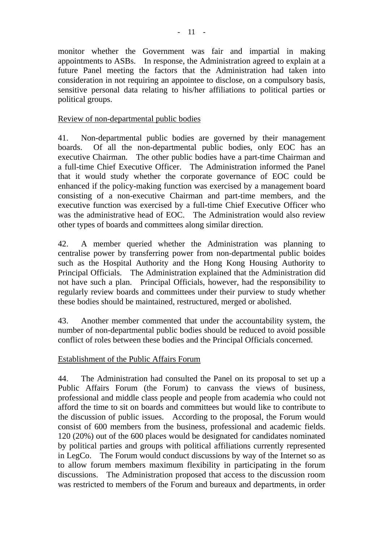monitor whether the Government was fair and impartial in making appointments to ASBs. In response, the Administration agreed to explain at a future Panel meeting the factors that the Administration had taken into consideration in not requiring an appointee to disclose, on a compulsory basis, sensitive personal data relating to his/her affiliations to political parties or political groups.

### Review of non-departmental public bodies

41. Non-departmental public bodies are governed by their management boards. Of all the non-departmental public bodies, only EOC has an executive Chairman. The other public bodies have a part-time Chairman and a full-time Chief Executive Officer. The Administration informed the Panel that it would study whether the corporate governance of EOC could be enhanced if the policy-making function was exercised by a management board consisting of a non-executive Chairman and part-time members, and the executive function was exercised by a full-time Chief Executive Officer who was the administrative head of EOC. The Administration would also review other types of boards and committees along similar direction.

42. A member queried whether the Administration was planning to centralise power by transferring power from non-departmental public boides such as the Hospital Authority and the Hong Kong Housing Authority to Principal Officials. The Administration explained that the Administration did not have such a plan. Principal Officials, however, had the responsibility to regularly review boards and committees under their purview to study whether these bodies should be maintained, restructured, merged or abolished.

43. Another member commented that under the accountability system, the number of non-departmental public bodies should be reduced to avoid possible conflict of roles between these bodies and the Principal Officials concerned.

# Establishment of the Public Affairs Forum

44. The Administration had consulted the Panel on its proposal to set up a Public Affairs Forum (the Forum) to canvass the views of business, professional and middle class people and people from academia who could not afford the time to sit on boards and committees but would like to contribute to the discussion of public issues. According to the proposal, the Forum would consist of 600 members from the business, professional and academic fields. 120 (20%) out of the 600 places would be designated for candidates nominated by political parties and groups with political affiliations currently represented in LegCo. The Forum would conduct discussions by way of the Internet so as to allow forum members maximum flexibility in participating in the forum discussions. The Administration proposed that access to the discussion room was restricted to members of the Forum and bureaux and departments, in order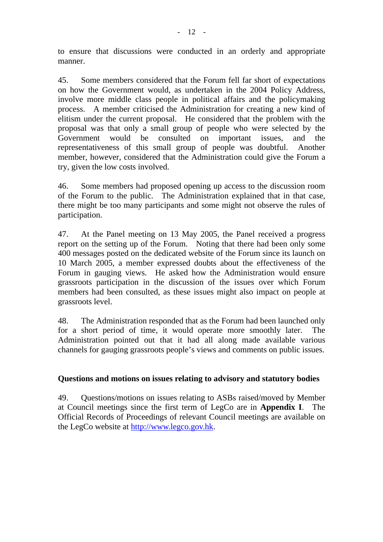to ensure that discussions were conducted in an orderly and appropriate manner.

45. Some members considered that the Forum fell far short of expectations on how the Government would, as undertaken in the 2004 Policy Address, involve more middle class people in political affairs and the policymaking process. A member criticised the Administration for creating a new kind of elitism under the current proposal. He considered that the problem with the proposal was that only a small group of people who were selected by the Government would be consulted on important issues, and the representativeness of this small group of people was doubtful. Another member, however, considered that the Administration could give the Forum a try, given the low costs involved.

46. Some members had proposed opening up access to the discussion room of the Forum to the public. The Administration explained that in that case, there might be too many participants and some might not observe the rules of participation.

47. At the Panel meeting on 13 May 2005, the Panel received a progress report on the setting up of the Forum. Noting that there had been only some 400 messages posted on the dedicated website of the Forum since its launch on 10 March 2005, a member expressed doubts about the effectiveness of the Forum in gauging views. He asked how the Administration would ensure grassroots participation in the discussion of the issues over which Forum members had been consulted, as these issues might also impact on people at grassroots level.

48. The Administration responded that as the Forum had been launched only for a short period of time, it would operate more smoothly later. The Administration pointed out that it had all along made available various channels for gauging grassroots people's views and comments on public issues.

#### **Questions and motions on issues relating to advisory and statutory bodies**

49. Questions/motions on issues relating to ASBs raised/moved by Member at Council meetings since the first term of LegCo are in **Appendix I**. The Official Records of Proceedings of relevant Council meetings are available on the LegCo website at http://www.legco.gov.hk.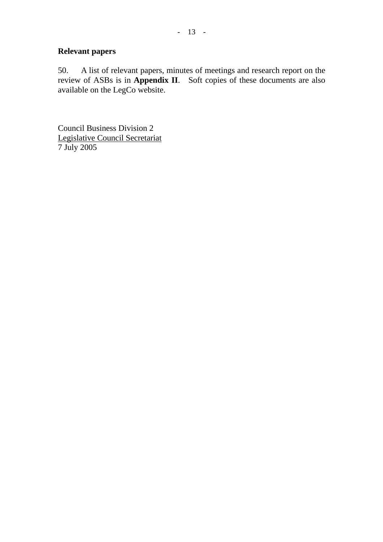### **Relevant papers**

50. A list of relevant papers, minutes of meetings and research report on the review of ASBs is in **Appendix II**. Soft copies of these documents are also available on the LegCo website.

Council Business Division 2 Legislative Council Secretariat 7 July 2005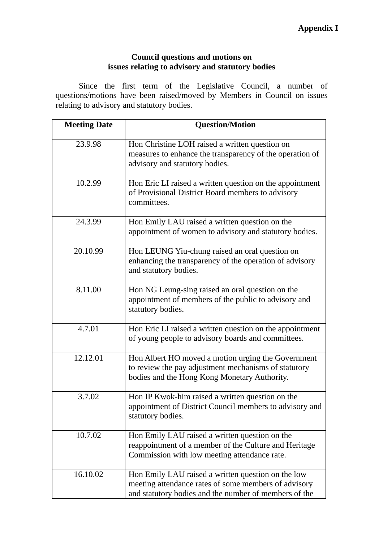# **Council questions and motions on issues relating to advisory and statutory bodies**

 Since the first term of the Legislative Council, a number of questions/motions have been raised/moved by Members in Council on issues relating to advisory and statutory bodies.

| <b>Meeting Date</b> | <b>Question/Motion</b>                                                                                                                                              |
|---------------------|---------------------------------------------------------------------------------------------------------------------------------------------------------------------|
| 23.9.98             | Hon Christine LOH raised a written question on<br>measures to enhance the transparency of the operation of<br>advisory and statutory bodies.                        |
| 10.2.99             | Hon Eric LI raised a written question on the appointment<br>of Provisional District Board members to advisory<br>committees.                                        |
| 24.3.99             | Hon Emily LAU raised a written question on the<br>appointment of women to advisory and statutory bodies.                                                            |
| 20.10.99            | Hon LEUNG Yiu-chung raised an oral question on<br>enhancing the transparency of the operation of advisory<br>and statutory bodies.                                  |
| 8.11.00             | Hon NG Leung-sing raised an oral question on the<br>appointment of members of the public to advisory and<br>statutory bodies.                                       |
| 4.7.01              | Hon Eric LI raised a written question on the appointment<br>of young people to advisory boards and committees.                                                      |
| 12.12.01            | Hon Albert HO moved a motion urging the Government<br>to review the pay adjustment mechanisms of statutory<br>bodies and the Hong Kong Monetary Authority.          |
| 3.7.02              | Hon IP Kwok-him raised a written question on the<br>appointment of District Council members to advisory and<br>statutory bodies.                                    |
| 10.7.02             | Hon Emily LAU raised a written question on the<br>reappointment of a member of the Culture and Heritage<br>Commission with low meeting attendance rate.             |
| 16.10.02            | Hon Emily LAU raised a written question on the low<br>meeting attendance rates of some members of advisory<br>and statutory bodies and the number of members of the |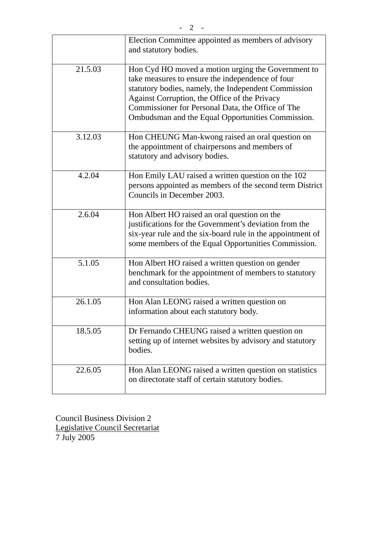|         | Election Committee appointed as members of advisory<br>and statutory bodies.                                                                                                                                                                                                                                              |
|---------|---------------------------------------------------------------------------------------------------------------------------------------------------------------------------------------------------------------------------------------------------------------------------------------------------------------------------|
| 21.5.03 | Hon Cyd HO moved a motion urging the Government to<br>take measures to ensure the independence of four<br>statutory bodies, namely, the Independent Commission<br>Against Corruption, the Office of the Privacy<br>Commissioner for Personal Data, the Office of The<br>Ombudsman and the Equal Opportunities Commission. |
| 3.12.03 | Hon CHEUNG Man-kwong raised an oral question on<br>the appointment of chairpersons and members of<br>statutory and advisory bodies.                                                                                                                                                                                       |
| 4.2.04  | Hon Emily LAU raised a written question on the 102<br>persons appointed as members of the second term District<br>Councils in December 2003.                                                                                                                                                                              |
| 2.6.04  | Hon Albert HO raised an oral question on the<br>justifications for the Government's deviation from the<br>six-year rule and the six-board rule in the appointment of<br>some members of the Equal Opportunities Commission.                                                                                               |
| 5.1.05  | Hon Albert HO raised a written question on gender<br>benchmark for the appointment of members to statutory<br>and consultation bodies.                                                                                                                                                                                    |
| 26.1.05 | Hon Alan LEONG raised a written question on<br>information about each statutory body.                                                                                                                                                                                                                                     |
| 18.5.05 | Dr Fernando CHEUNG raised a written question on<br>setting up of internet websites by advisory and statutory<br>bodies.                                                                                                                                                                                                   |
| 22.6.05 | Hon Alan LEONG raised a written question on statistics<br>on directorate staff of certain statutory bodies.                                                                                                                                                                                                               |

Council Business Division 2 Legislative Council Secretariat 7 July 2005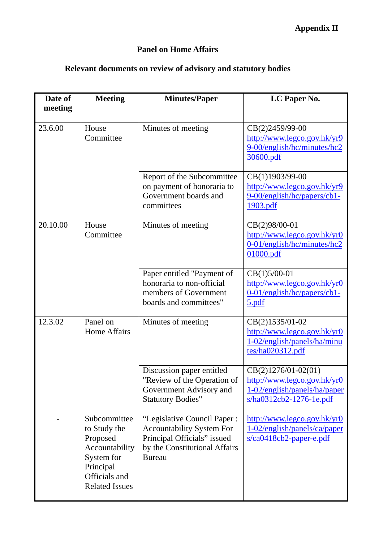# **Panel on Home Affairs**

# **Relevant documents on review of advisory and statutory bodies**

| Date of<br>meeting | <b>Meeting</b>                                                                                                                  | <b>Minutes/Paper</b>                                                                                                                             | LC Paper No.                                                                                                    |
|--------------------|---------------------------------------------------------------------------------------------------------------------------------|--------------------------------------------------------------------------------------------------------------------------------------------------|-----------------------------------------------------------------------------------------------------------------|
|                    |                                                                                                                                 |                                                                                                                                                  |                                                                                                                 |
| 23.6.00            | House<br>Committee                                                                                                              | Minutes of meeting                                                                                                                               | CB(2)2459/99-00<br>http://www.legco.gov.hk/yr9<br>9-00/english/hc/minutes/hc2<br>30600.pdf                      |
|                    |                                                                                                                                 | Report of the Subcommittee<br>on payment of honoraria to<br>Government boards and<br>committees                                                  | CB(1)1903/99-00<br>http://www.legco.gov.hk/yr9<br>9-00/english/hc/papers/cb1-<br>1903.pdf                       |
| 20.10.00           | House<br>Committee                                                                                                              | Minutes of meeting                                                                                                                               | CB(2)98/00-01<br>http://www.legco.gov.hk/yr0<br>0-01/english/hc/minutes/hc2<br>01000.pdf                        |
|                    |                                                                                                                                 | Paper entitled "Payment of<br>honoraria to non-official<br>members of Government<br>boards and committees"                                       | CB(1)5/00-01<br>http://www.legco.gov.hk/yr0<br>$0-01/english/hc/papers/cb1-$<br><u>5.pdf</u>                    |
| 12.3.02            | Panel on<br><b>Home Affairs</b>                                                                                                 | Minutes of meeting                                                                                                                               | CB(2)1535/01-02<br>http://www.legco.gov.hk/yr0<br>1-02/english/panels/ha/minu<br>tes/ha020312.pdf               |
|                    |                                                                                                                                 | Discussion paper entitled<br>"Review of the Operation of<br>Government Advisory and<br><b>Statutory Bodies"</b>                                  | $CB(2)1276/01-02(01)$<br>http://www.legco.gov.hk/yr0<br>1-02/english/panels/ha/paper<br>s/ha0312cb2-1276-1e.pdf |
|                    | Subcommittee<br>to Study the<br>Proposed<br>Accountability<br>System for<br>Principal<br>Officials and<br><b>Related Issues</b> | "Legislative Council Paper:<br><b>Accountability System For</b><br>Principal Officials" issued<br>by the Constitutional Affairs<br><b>Bureau</b> | http://www.legco.gov.hk/yr0<br>1-02/english/panels/ca/paper<br>$s/ca0418cb2$ -paper-e.pdf                       |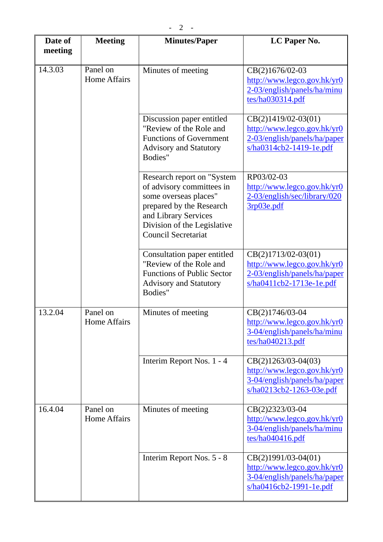| Date of<br>meeting | <b>Meeting</b>                  | <b>Minutes/Paper</b>                                                                                                                                                                              | LC Paper No.                                                                                                     |
|--------------------|---------------------------------|---------------------------------------------------------------------------------------------------------------------------------------------------------------------------------------------------|------------------------------------------------------------------------------------------------------------------|
|                    |                                 |                                                                                                                                                                                                   |                                                                                                                  |
| 14.3.03            | Panel on<br>Home Affairs        | Minutes of meeting                                                                                                                                                                                | CB(2)1676/02-03<br>http://www.legco.gov.hk/yr0<br>2-03/english/panels/ha/minu<br>tes/ha030314.pdf                |
|                    |                                 | Discussion paper entitled<br>"Review of the Role and<br><b>Functions of Government</b><br><b>Advisory and Statutory</b><br>Bodies"                                                                | $CB(2)1419/02-03(01)$<br>http://www.legco.gov.hk/yr0<br>2-03/english/panels/ha/paper<br>s/ha0314cb2-1419-1e.pdf  |
|                    |                                 | Research report on "System<br>of advisory committees in<br>some overseas places"<br>prepared by the Research<br>and Library Services<br>Division of the Legislative<br><b>Council Secretariat</b> | RP03/02-03<br>http://www.legco.gov.hk/yr0<br>2-03/english/sec/library/020<br>3rp03e.pdf                          |
|                    |                                 | Consultation paper entitled<br>"Review of the Role and<br><b>Functions of Public Sector</b><br><b>Advisory and Statutory</b><br>Bodies"                                                           | $CB(2)1713/02-03(01)$<br>http://www.legco.gov.hk/yr0<br>2-03/english/panels/ha/paper<br>s/ha0411cb2-1713e-1e.pdf |
| 13.2.04            | Panel on<br><b>Home Affairs</b> | Minutes of meeting                                                                                                                                                                                | CB(2)1746/03-04<br>http://www.legco.gov.hk/yr0<br>3-04/english/panels/ha/minu<br>tes/ha040213.pdf                |
|                    |                                 | Interim Report Nos. 1 - 4                                                                                                                                                                         | $CB(2)1263/03-04(03)$<br>http://www.legco.gov.hk/yr0<br>3-04/english/panels/ha/paper<br>s/ha0213cb2-1263-03e.pdf |
| 16.4.04            | Panel on<br><b>Home Affairs</b> | Minutes of meeting                                                                                                                                                                                | CB(2)2323/03-04<br>http://www.legco.gov.hk/yr0<br>3-04/english/panels/ha/minu<br>tes/ha040416.pdf                |
|                    |                                 | Interim Report Nos. 5 - 8                                                                                                                                                                         | $CB(2)1991/03-04(01)$<br>http://www.legco.gov.hk/yr0<br>3-04/english/panels/ha/paper<br>s/ha0416cb2-1991-1e.pdf  |